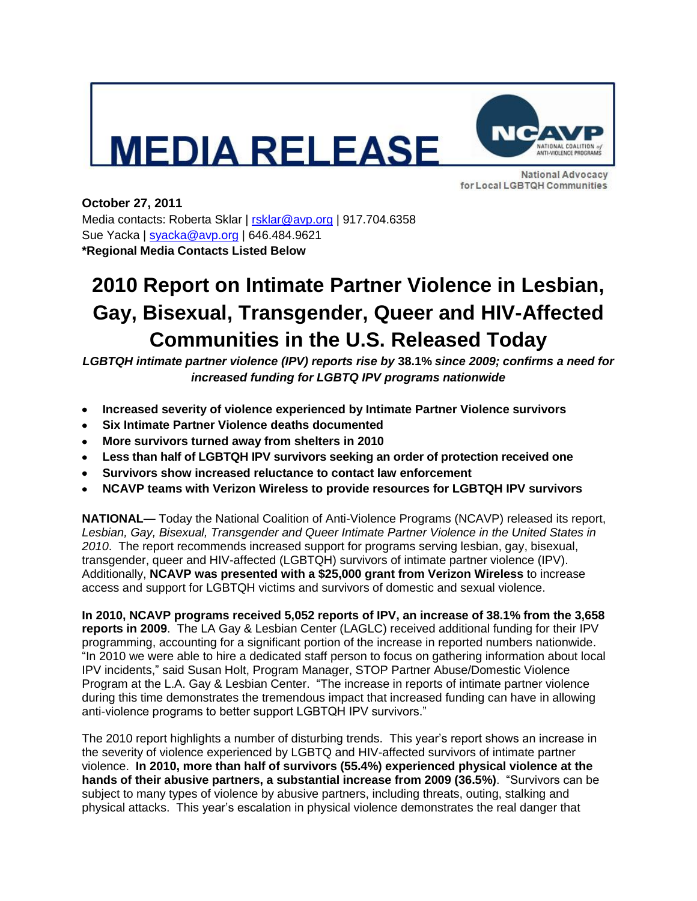## **EDIA RELEASE**



**National Advocacy** for Local LGBTQH Communities

**October 27, 2011**  Media contacts: Roberta Sklar | [rsklar@avp.org](mailto:rsklar@avp.org) | 917.704.6358 Sue Yacka | [syacka@avp.org](mailto:syacka@avp.org) | 646.484.9621 **\*Regional Media Contacts Listed Below** 

## **2010 Report on Intimate Partner Violence in Lesbian, Gay, Bisexual, Transgender, Queer and HIV-Affected Communities in the U.S. Released Today**

*LGBTQH intimate partner violence (IPV) reports rise by* **38.1%** *since 2009; confirms a need for increased funding for LGBTQ IPV programs nationwide*

- **Increased severity of violence experienced by Intimate Partner Violence survivors**
- **Six Intimate Partner Violence deaths documented**   $\bullet$
- **More survivors turned away from shelters in 2010**
- **Less than half of LGBTQH IPV survivors seeking an order of protection received one**
- **Survivors show increased reluctance to contact law enforcement**  $\bullet$
- **NCAVP teams with Verizon Wireless to provide resources for LGBTQH IPV survivors**

**NATIONAL—** Today the National Coalition of Anti-Violence Programs (NCAVP) released its report, *Lesbian, Gay, Bisexual, Transgender and Queer Intimate Partner Violence in the United States in 2010*. The report recommends increased support for programs serving lesbian, gay, bisexual, transgender, queer and HIV-affected (LGBTQH) survivors of intimate partner violence (IPV). Additionally, **NCAVP was presented with a \$25,000 grant from Verizon Wireless** to increase access and support for LGBTQH victims and survivors of domestic and sexual violence.

**In 2010, NCAVP programs received 5,052 reports of IPV, an increase of 38.1% from the 3,658 reports in 2009**. The LA Gay & Lesbian Center (LAGLC) received additional funding for their IPV programming, accounting for a significant portion of the increase in reported numbers nationwide. "In 2010 we were able to hire a dedicated staff person to focus on gathering information about local IPV incidents," said Susan Holt, Program Manager, STOP Partner Abuse/Domestic Violence Program at the L.A. Gay & Lesbian Center. "The increase in reports of intimate partner violence during this time demonstrates the tremendous impact that increased funding can have in allowing anti-violence programs to better support LGBTQH IPV survivors."

The 2010 report highlights a number of disturbing trends. This year's report shows an increase in the severity of violence experienced by LGBTQ and HIV-affected survivors of intimate partner violence. **In 2010, more than half of survivors (55.4%) experienced physical violence at the hands of their abusive partners, a substantial increase from 2009 (36.5%)**. "Survivors can be subject to many types of violence by abusive partners, including threats, outing, stalking and physical attacks. This year's escalation in physical violence demonstrates the real danger that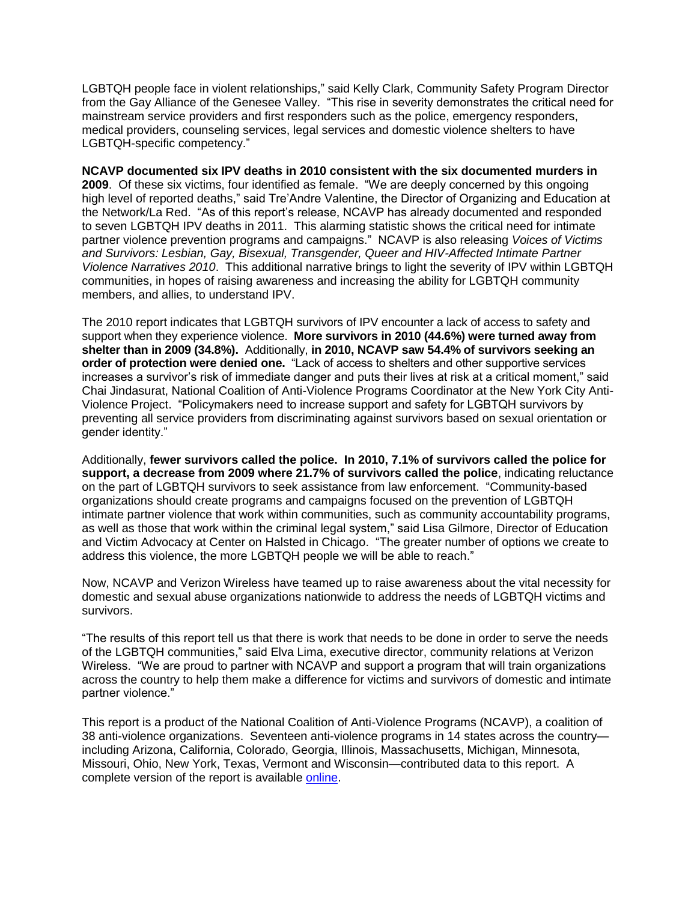LGBTQH people face in violent relationships," said Kelly Clark, Community Safety Program Director from the Gay Alliance of the Genesee Valley. "This rise in severity demonstrates the critical need for mainstream service providers and first responders such as the police, emergency responders, medical providers, counseling services, legal services and domestic violence shelters to have LGBTQH-specific competency."

**NCAVP documented six IPV deaths in 2010 consistent with the six documented murders in 2009**. Of these six victims, four identified as female. "We are deeply concerned by this ongoing high level of reported deaths," said Tre'Andre Valentine, the Director of Organizing and Education at the Network/La Red. "As of this report's release, NCAVP has already documented and responded to seven LGBTQH IPV deaths in 2011. This alarming statistic shows the critical need for intimate partner violence prevention programs and campaigns." NCAVP is also releasing *Voices of Victims and Survivors: Lesbian, Gay, Bisexual, Transgender, Queer and HIV-Affected Intimate Partner Violence Narratives 2010*. This additional narrative brings to light the severity of IPV within LGBTQH communities, in hopes of raising awareness and increasing the ability for LGBTQH community members, and allies, to understand IPV.

The 2010 report indicates that LGBTQH survivors of IPV encounter a lack of access to safety and support when they experience violence. **More survivors in 2010 (44.6%) were turned away from shelter than in 2009 (34.8%).** Additionally, **in 2010, NCAVP saw 54.4% of survivors seeking an order of protection were denied one.** "Lack of access to shelters and other supportive services increases a survivor's risk of immediate danger and puts their lives at risk at a critical moment," said Chai Jindasurat, National Coalition of Anti-Violence Programs Coordinator at the New York City Anti-Violence Project. "Policymakers need to increase support and safety for LGBTQH survivors by preventing all service providers from discriminating against survivors based on sexual orientation or gender identity."

Additionally, **fewer survivors called the police. In 2010, 7.1% of survivors called the police for support, a decrease from 2009 where 21.7% of survivors called the police**, indicating reluctance on the part of LGBTQH survivors to seek assistance from law enforcement. "Community-based organizations should create programs and campaigns focused on the prevention of LGBTQH intimate partner violence that work within communities, such as community accountability programs, as well as those that work within the criminal legal system," said Lisa Gilmore, Director of Education and Victim Advocacy at Center on Halsted in Chicago. "The greater number of options we create to address this violence, the more LGBTQH people we will be able to reach."

Now, NCAVP and Verizon Wireless have teamed up to raise awareness about the vital necessity for domestic and sexual abuse organizations nationwide to address the needs of LGBTQH victims and survivors.

"The results of this report tell us that there is work that needs to be done in order to serve the needs of the LGBTQH communities," said Elva Lima, executive director, community relations at Verizon Wireless. "We are proud to partner with NCAVP and support a program that will train organizations across the country to help them make a difference for victims and survivors of domestic and intimate partner violence."

This report is a product of the National Coalition of Anti-Violence Programs (NCAVP), a coalition of 38 anti-violence organizations. Seventeen anti-violence programs in 14 states across the country including Arizona, California, Colorado, Georgia, Illinois, Massachusetts, Michigan, Minnesota, Missouri, Ohio, New York, Texas, Vermont and Wisconsin—contributed data to this report. A complete version of the report is available [online.](http://www.avp.org/ncavp.htm)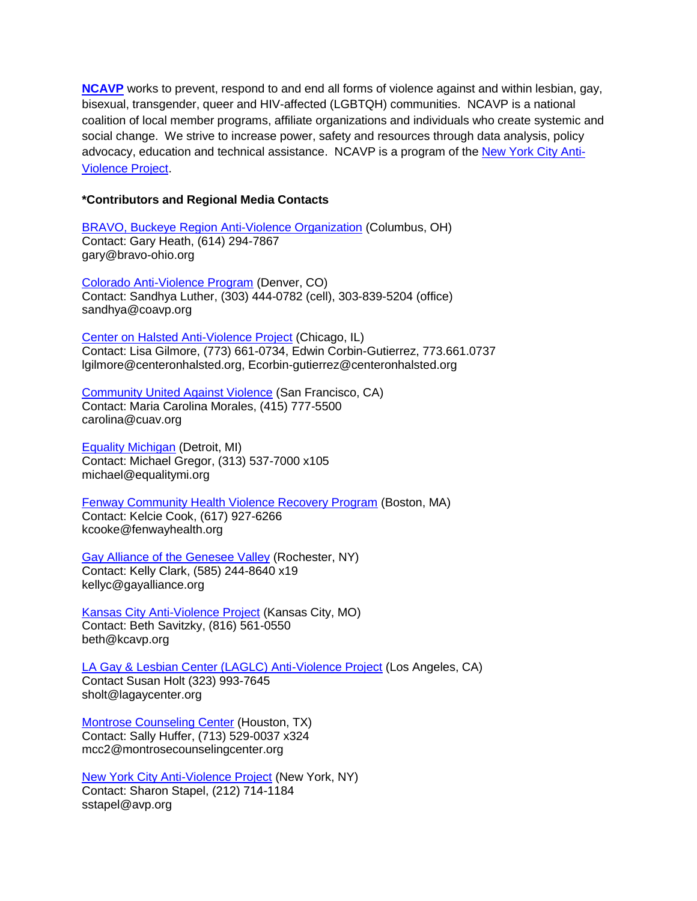**[NCAVP](http://www.avp.org/ncavp.htm)** works to prevent, respond to and end all forms of violence against and within lesbian, gay, bisexual, transgender, queer and HIV-affected (LGBTQH) communities. NCAVP is a national coalition of local member programs, affiliate organizations and individuals who create systemic and social change. We strive to increase power, safety and resources through data analysis, policy advocacy, education and technical assistance. NCAVP is a program of the [New York City Anti-](http://www.avp.org/)[Violence Project](http://www.avp.org/).

## **\*Contributors and Regional Media Contacts**

[BRAVO, Buckeye Region Anti-Violence Organization](http://www.bravo-ohio.org/) (Columbus, OH) Contact: Gary Heath, (614) 294-7867 gary@bravo-ohio.org

[Colorado Anti-Violence Program](http://www.coavp.org/) (Denver, CO) Contact: Sandhya Luther, (303) 444-0782 (cell), 303-839-5204 (office) sandhya@coavp.org

[Center on Halsted Anti-Violence Project](http://www.centeronhalsted.org/cohavp.html) (Chicago, IL) Contact: Lisa Gilmore, (773) 661-0734, Edwin Corbin-Gutierrez, 773.661.0737 lgilmore@centeronhalsted.org, Ecorbin-gutierrez@centeronhalsted.org

[Community United Against Violence](http://www.cuav.org/) (San Francisco, CA) Contact: Maria Carolina Morales, (415) 777-5500 carolina@cuav.org

[Equality Michigan](http://equalitymi.org/) (Detroit, MI) Contact: Michael Gregor, (313) 537-7000 x105 michael@equalitymi.org

[Fenway Community Health Violence Recovery Program](http://www.fenwayhealth.org/site/PageServer?pagename=FCHC_srv_services_violence) (Boston, MA) Contact: Kelcie Cook, (617) 927-6266 kcooke@fenwayhealth.org

[Gay Alliance of the Genesee Valley](http://www.gayalliance.org/programs/avp.html) (Rochester, NY) Contact: Kelly Clark, (585) 244-8640 x19 kellyc@gayalliance.org

[Kansas City Anti-Violence Project](http://www.kcavp.org/site/) (Kansas City, MO) Contact: Beth Savitzky, (816) 561-0550 beth@kcavp.org

[LA Gay & Lesbian Center \(LAGLC\) Anti-Violence Project](http://www.lagaycenter.org/site/PageServer?pagename=Anti_Violence_Project) (Los Angeles, CA) Contact Susan Holt (323) 993-7645

sholt@lagaycenter.org

[Montrose Counseling Center](http://www.montrosecounselingcenter.org/?p=524) (Houston, TX) Contact: Sally Huffer, (713) 529-0037 x324 mcc2@montrosecounselingcenter.org

[New York City Anti-Violence Project](http://www.avp.org/) (New York, NY) Contact: Sharon Stapel, (212) 714-1184 sstapel@avp.org